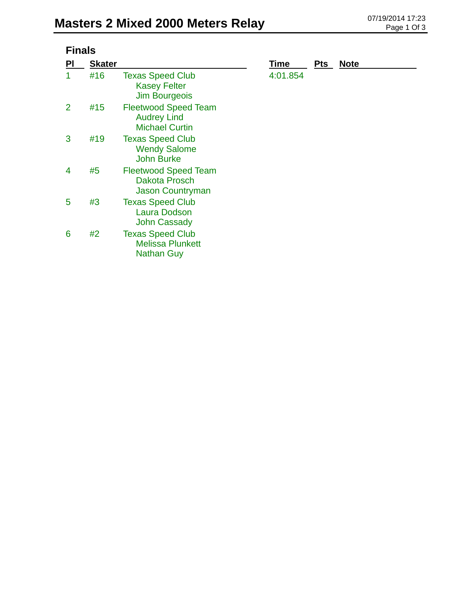| <b>Finals</b>  |               |                                                                            |          |            |             |  |  |
|----------------|---------------|----------------------------------------------------------------------------|----------|------------|-------------|--|--|
| PI             | <b>Skater</b> |                                                                            | Time     | <b>Pts</b> | <b>Note</b> |  |  |
| 1              | #16           | <b>Texas Speed Club</b><br><b>Kasey Felter</b><br><b>Jim Bourgeois</b>     | 4:01.854 |            |             |  |  |
| $\overline{2}$ | #15           | <b>Fleetwood Speed Team</b><br><b>Audrey Lind</b><br><b>Michael Curtin</b> |          |            |             |  |  |
| 3              | #19           | <b>Texas Speed Club</b><br><b>Wendy Salome</b><br><b>John Burke</b>        |          |            |             |  |  |
| 4              | #5            | <b>Fleetwood Speed Team</b><br><b>Dakota Prosch</b><br>Jason Countryman    |          |            |             |  |  |
| 5              | #3            | <b>Texas Speed Club</b><br>Laura Dodson<br><b>John Cassady</b>             |          |            |             |  |  |
| 6              | #2            | <b>Texas Speed Club</b><br><b>Melissa Plunkett</b><br><b>Nathan Guy</b>    |          |            |             |  |  |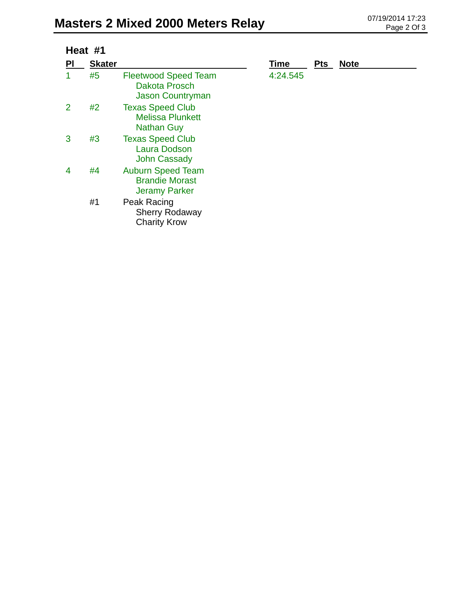| Heat #1 |               |                                                                           |             |            |             |
|---------|---------------|---------------------------------------------------------------------------|-------------|------------|-------------|
| ΡI      | <b>Skater</b> |                                                                           | <b>Time</b> | <b>Pts</b> | <b>Note</b> |
|         | #5            | <b>Fleetwood Speed Team</b><br>Dakota Prosch<br><b>Jason Countryman</b>   | 4:24.545    |            |             |
| 2       | #2            | <b>Texas Speed Club</b><br><b>Melissa Plunkett</b><br><b>Nathan Guy</b>   |             |            |             |
| 3       | #3            | <b>Texas Speed Club</b><br><b>Laura Dodson</b><br><b>John Cassady</b>     |             |            |             |
| 4       | #4            | <b>Auburn Speed Team</b><br><b>Brandie Morast</b><br><b>Jeramy Parker</b> |             |            |             |
|         | #1            | Peak Racing<br><b>Sherry Rodaway</b><br><b>Charity Krow</b>               |             |            |             |